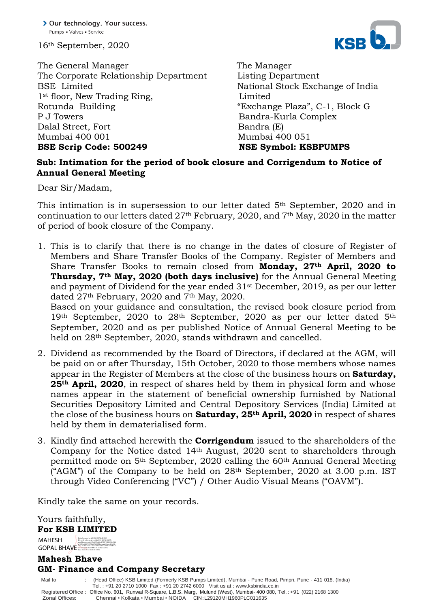16th September, 2020

The General Manager The Manager The Corporate Relationship Department Listing Department BSE Limited National Stock Exchange of India 1<sup>st</sup> floor, New Trading Ring, Limited Rotunda Building "Exchange Plaza", C-1, Block G P J Towers **Bandra-Kurla Complex** Dalal Street, Fort Bandra (E) Mumbai 400 001 Mumbai 400 051 **BSE Scrip Code: 500249 NSE Symbol: KSBPUMPS** 



## **Sub: Intimation for the period of book closure and Corrigendum to Notice of Annual General Meeting**

Dear Sir/Madam,

This intimation is in supersession to our letter dated 5<sup>th</sup> September, 2020 and in continuation to our letters dated 27th February, 2020, and 7th May, 2020 in the matter of period of book closure of the Company.

1. This is to clarify that there is no change in the dates of closure of Register of Members and Share Transfer Books of the Company. Register of Members and Share Transfer Books to remain closed from **Monday, 27th April, 2020 to Thursday, 7th May, 2020 (both days inclusive)** for the Annual General Meeting and payment of Dividend for the year ended 31st December, 2019, as per our letter dated 27<sup>th</sup> February, 2020 and 7<sup>th</sup> May, 2020.

Based on your guidance and consultation, the revised book closure period from 19th September, 2020 to 28<sup>th</sup> September, 2020 as per our letter dated 5<sup>th</sup> September, 2020 and as per published Notice of Annual General Meeting to be held on  $28<sup>th</sup>$  September, 2020, stands withdrawn and cancelled.

- 2. Dividend as recommended by the Board of Directors, if declared at the AGM, will be paid on or after Thursday, 15th October, 2020 to those members whose names appear in the Register of Members at the close of the business hours on **Saturday, 25th April, 2020**, in respect of shares held by them in physical form and whose names appear in the statement of beneficial ownership furnished by National Securities Depository Limited and Central Depository Services (India) Limited at the close of the business hours on **Saturday, 25th April, 2020** in respect of shares held by them in dematerialised form.
- 3. Kindly find attached herewith the **Corrigendum** issued to the shareholders of the Company for the Notice dated 14th August, 2020 sent to shareholders through permitted mode on 5th September, 2020 calling the 60th Annual General Meeting ("AGM") of the Company to be held on  $28<sup>th</sup>$  September, 2020 at 3.00 p.m. IST through Video Conferencing ("VC") / Other Audio Visual Means ("OAVM").

Kindly take the same on your records.

Yours faithfully, **For KSB LIMITED** 

MAHESH GOPAL BHAVE Digitally signed by MAHESH GOPAL BHAVE DN: c=IN, o=Personal, cn=MAHESH GOPAL BHAVE, serialNumber=eb0451c8d91c9a8cf275071329c736c9926

## **Mahesh Bhave GM- Finance and Company Secretary**